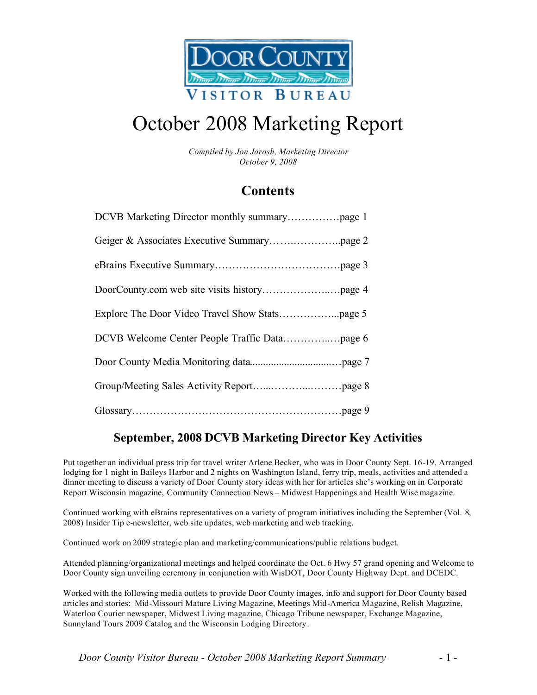

# October 2008 Marketing Report

*Compiled by Jon Jarosh, Marketing Director October 9, 2008*

### **Contents**

### **September, 2008 DCVB Marketing Director Key Activities**

Put together an individual press trip for travel writer Arlene Becker, who was in Door County Sept. 16-19. Arranged lodging for 1 night in Baileys Harbor and 2 nights on Washington Island, ferry trip, meals, activities and attended a dinner meeting to discuss a variety of Door County story ideas with her for articles she's working on in Corporate Report Wisconsin magazine, Community Connection News – Midwest Happenings and Health Wise magazine.

Continued working with eBrains representatives on a variety of program initiatives including the September (Vol. 8, 2008) Insider Tip e-newsletter, web site updates, web marketing and web tracking.

Continued work on 2009 strategic plan and marketing/communications/public relations budget.

Attended planning/organizational meetings and helped coordinate the Oct. 6 Hwy 57 grand opening and Welcome to Door County sign unveiling ceremony in conjunction with WisDOT, Door County Highway Dept. and DCEDC.

Worked with the following media outlets to provide Door County images, info and support for Door County based articles and stories: Mid-Missouri Mature Living Magazine, Meetings Mid-America Magazine, Relish Magazine, Waterloo Courier newspaper, Midwest Living magazine, Chicago Tribune newspaper, Exchange Magazine, Sunnyland Tours 2009 Catalog and the Wisconsin Lodging Directory.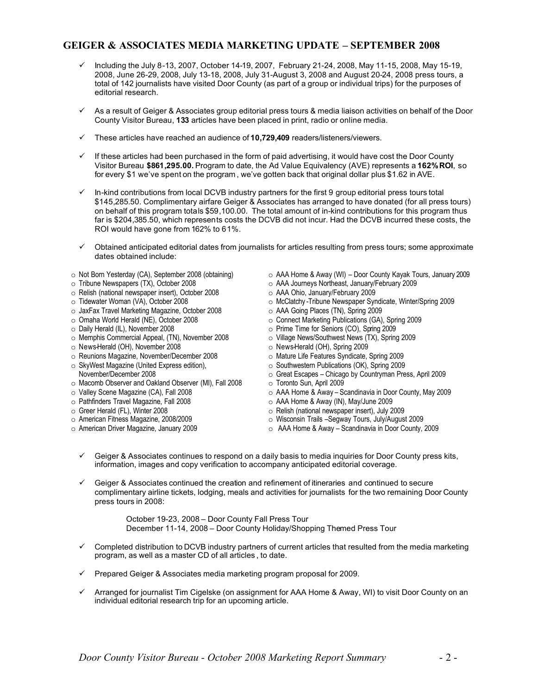### **GEIGER & ASSOCIATES MEDIA MARKETING UPDATE – SEPTEMBER 2008**

- $\checkmark$  Including the July 8-13, 2007, October 14-19, 2007, February 21-24, 2008, May 11-15, 2008, May 15-19, 2008, June 26-29, 2008, July 13-18, 2008, July 31-August 3, 2008 and August 20-24, 2008 press tours, a total of 142 journalists have visited Door County (as part of a group or individual trips) for the purposes of editorial research.
- $\checkmark$  As a result of Geiger & Associates group editorial press tours & media liaison activities on behalf of the Door County Visitor Bureau, **133** articles have been placed in print, radio or online media.
- ¸ These articles have reached an audience of **10,729,409** readers/listeners/viewers.
- $\checkmark$  If these articles had been purchased in the form of paid advertising, it would have cost the Door County Visitor Bureau **\$861,295.00.** Program to date, the Ad Value Equivalency (AVE) represents a **162% ROI**, so for every \$1 we've spent on the program , we've gotten back that original dollar plus \$1.62 in AVE.
- ¸ In-kind contributions from local DCVB industry partners for the first 9 group editorial press tours total \$145,285.50. Complimentary airfare Geiger & Associates has arranged to have donated (for all press tours) on behalf of this program totals \$59,100.00. The total amount of in-kind contributions for this program thus far is \$204,385.50, which represents costs the DCVB did not incur. Had the DCVB incurred these costs, the ROI would have gone from 162% to 61%.
- $\checkmark$  Obtained anticipated editorial dates from journalists for articles resulting from press tours; some approximate dates obtained include:
- o Not Born Yesterday (CA), September 2008 (obtaining)
- o Tribune Newspapers (TX), October 2008
- o Relish (national newspaper insert), October 2008
- o Tidewater Woman (VA), October 2008
- o JaxFax Travel Marketing Magazine, October 2008
- o Omaha World Herald (NE), October 2008
- o Daily Herald (IL), November 2008
- o Memphis Commercial Appeal, (TN), November 2008
- o News-Herald (OH), November 2008
- o Reunions Magazine, November/December 2008
- o SkyWest Magazine (United Express edition), November/December 2008
- o Macomb Observer and Oakland Observer (MI), Fall 2008
- o Valley Scene Magazine (CA), Fall 2008
- o Pathfinders Travel Magazine, Fall 2008
- o Greer Herald (FL), Winter 2008
- o American Fitness Magazine, 2008/2009
- o American Driver Magazine, January 2009
- o AAA Home & Away (WI) Door County Kayak Tours, January 2009
- o AAA Journeys Northeast, January/February 2009
- o AAA Ohio, January/February 2009
- o McClatchy -Tribune Newspaper Syndicate, Winter/Spring 2009
- o AAA Going Places (TN), Spring 2009
- o Connect Marketing Publications (GA), Spring 2009
- o Prime Time for Seniors (CO), Spring 2009
- o Village News/Southwest News (TX), Spring 2009
- o News-Herald (OH), Spring 2009
- o Mature Life Features Syndicate, Spring 2009
- o Southwestern Publications (OK), Spring 2009
- o Great Escapes Chicago by Countryman Press, April 2009
- o Toronto Sun, April 2009
	- o AAA Home & Away Scandinavia in Door County, May 2009
	-
- o Relish (national newspaper insert), July 2009
	-
	-
- $\checkmark$  Geiger & Associates continues to respond on a daily basis to media inquiries for Door County press kits, information, images and copy verification to accompany anticipated editorial coverage.
- $\checkmark$  Geiger & Associates continued the creation and refinement of itineraries and continued to secure complimentary airline tickets, lodging, meals and activities for journalists for the two remaining Door County press tours in 2008:

October 19-23, 2008 – Door County Fall Press Tour December 11-14, 2008 – Door County Holiday/Shopping Themed Press Tour

- $\checkmark$  Completed distribution to DCVB industry partners of current articles that resulted from the media marketing program, as well as a master CD of all articles , to date.
- $\checkmark$  Prepared Geiger & Associates media marketing program proposal for 2009.
- $\checkmark$  Arranged for journalist Tim Cigelske (on assignment for AAA Home & Away, WI) to visit Door County on an individual editorial research trip for an upcoming article.
- o AAA Home & Away (IN), May/June 2009
	-
	- o Wisconsin Trails –Segway Tours, July/August 2009
	- o AAA Home & Away Scandinavia in Door County, 2009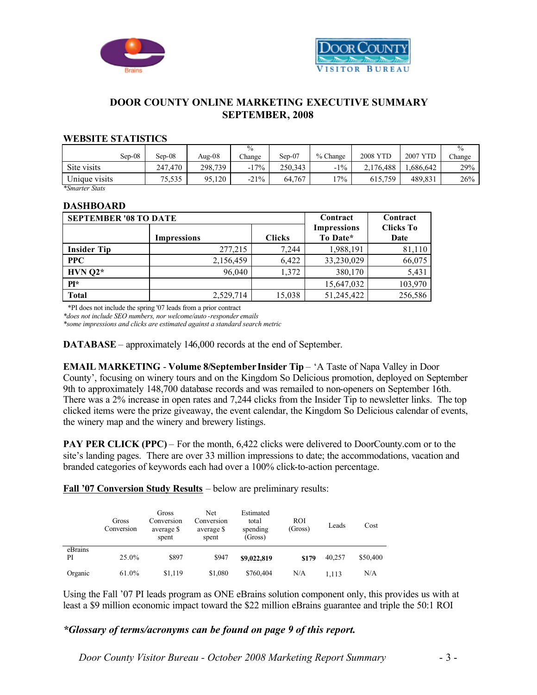



### **DOOR COUNTY ONLINE MARKETING EXECUTIVE SUMMARY SEPTEMBER, 2008**

#### **WEBSITE STATISTICS**

|               |          |         | $\frac{0}{0}$ |          |          |           |                    | $\%$   |
|---------------|----------|---------|---------------|----------|----------|-----------|--------------------|--------|
| Sep-08        | $Sep-08$ | Aug-08  | Change        | $Sep-07$ | % Change | 2008 YTD  | <b>YTD</b><br>2007 | Change |
| Site visits   | 247.470  | 298.739 | 17%<br>- 1    | 250.343  | $-1\%$   | 2.176.488 | .686.642           | 29%    |
| Unique visits | 75,535   | 95,120  | $-21\%$       | 64.767   | $7\%$    | 615.759   | 489.831            | 26%    |

*\*Smarter Stats*

#### **DASHBOARD**

| <b>SEPTEMBER '08 TO DATE</b> | Contract           | Contract      |                                |                          |
|------------------------------|--------------------|---------------|--------------------------------|--------------------------|
|                              | <b>Impressions</b> | <b>Clicks</b> | <b>Impressions</b><br>To Date* | <b>Clicks To</b><br>Date |
| <b>Insider Tip</b>           | 277,215            | 7,244         | 1,988,191                      | 81,110                   |
| $PPC$                        | 2,156,459          | 6,422         | 33,230,029                     | 66,075                   |
| $HVN$ Q2*                    | 96,040             | 1,372         | 380,170                        | 5,431                    |
| $PI*$                        |                    |               | 15,647,032                     | 103,970                  |
| Total                        | 2,529,714          | 15,038        | 51,245,422                     | 256,586                  |

\*PI does not include the spring '07 leads from a prior contract

*\*does not include SEO numbers, nor welcome/auto -responder emails*

*\*some impressions and clicks are estimated against a standard search metric*

**DATABASE** – approximately 146,000 records at the end of September.

**EMAIL MARKETING** - **Volume 8/September Insider Tip** – 'A Taste of Napa Valley in Door County', focusing on winery tours and on the Kingdom So Delicious promotion, deployed on September 9th to approximately 148,700 database records and was remailed to non-openers on September 16th. There was a 2% increase in open rates and 7,244 clicks from the Insider Tip to newsletter links. The top clicked items were the prize giveaway, the event calendar, the Kingdom So Delicious calendar of events, the winery map and the winery and brewery listings.

**PAY PER CLICK (PPC)** – For the month, 6,422 clicks were delivered to DoorCounty.com or to the site's landing pages. There are over 33 million impressions to date; the accommodations, vacation and branded categories of keywords each had over a 100% click-to-action percentage.

**Fall '07 Conversion Study Results** – below are preliminary results:

|               | Gross<br>Conversion | Gross<br>Conversion<br>average \$<br>spent | Net<br>Conversion<br>average \$<br>spent | Estimated<br>total<br>spending<br>(Gross) | <b>ROI</b><br>(Gross) | Leads  | Cost     |
|---------------|---------------------|--------------------------------------------|------------------------------------------|-------------------------------------------|-----------------------|--------|----------|
| eBrains<br>PI | 25.0%               | \$897                                      | \$947                                    | \$9,022,819                               | \$179                 | 40.257 | \$50,400 |
| Organic       | 61.0%               | \$1,119                                    | \$1,080                                  | \$760,404                                 | N/A                   | 1,113  | N/A      |

Using the Fall '07 PI leads program as ONE eBrains solution component only, this provides us with at least a \$9 million economic impact toward the \$22 million eBrains guarantee and triple the 50:1 ROI

#### *\*Glossary of terms/acronyms can be found on page 9 of this report.*

*Door County Visitor Bureau - October 2008 Marketing Report Summary* - 3 -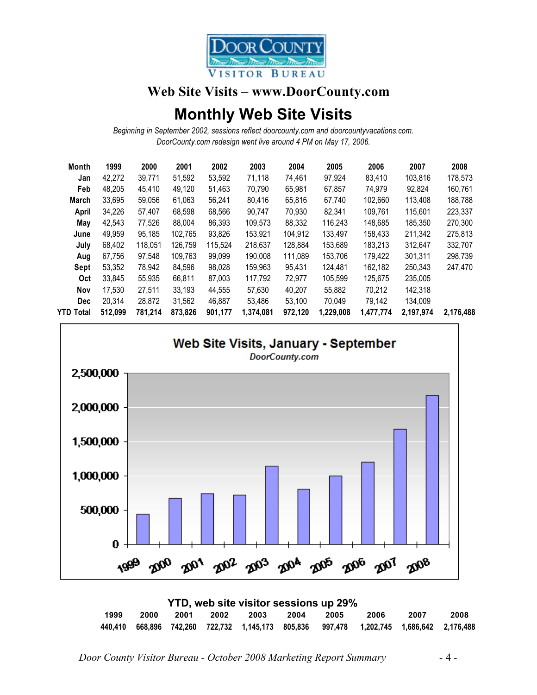

### **Web Site Visits – www.DoorCounty.com**

# **Monthly Web Site Visits**

*Beginning in September 2002, sessions reflect doorcounty.com and doorcountyvacations.com. DoorCounty.com redesign went live around 4 PM on May 17, 2006.*

| Month      | 1999    | 2000    | 2001    | 2002    | 2003      | 2004    | 2005      | 2006      | 2007      | 2008      |
|------------|---------|---------|---------|---------|-----------|---------|-----------|-----------|-----------|-----------|
| Jan        | 42.272  | 39.771  | 51.592  | 53.592  | 71,118    | 74.461  | 97.924    | 83.410    | 103,816   | 178,573   |
| Feb        | 48.205  | 45.410  | 49,120  | 51.463  | 70.790    | 65.981  | 67.857    | 74.979    | 92.824    | 160.761   |
| March      | 33.695  | 59,056  | 61.063  | 56,241  | 80,416    | 65.816  | 67.740    | 102.660   | 113,408   | 188,788   |
| April      | 34,226  | 57,407  | 68,598  | 68,566  | 90,747    | 70,930  | 82,341    | 109.761   | 115.601   | 223,337   |
| May        | 42,543  | 77,526  | 88,004  | 86,393  | 109.573   | 88,332  | 116,243   | 148,685   | 185,350   | 270,300   |
| June       | 49,959  | 95,185  | 102,765 | 93,826  | 153,921   | 104,912 | 133,497   | 158,433   | 211,342   | 275,813   |
| July       | 68.402  | 118,051 | 126,759 | 115.524 | 218.637   | 128,884 | 153,689   | 183.213   | 312,647   | 332,707   |
| Aug        | 67,756  | 97,548  | 109,763 | 99,099  | 190.008   | 111,089 | 153,706   | 179.422   | 301.311   | 298,739   |
| Sept       | 53,352  | 78,942  | 84,596  | 98.028  | 159.963   | 95.431  | 124.481   | 162.182   | 250.343   | 247,470   |
| Oct        | 33.845  | 55.935  | 66.811  | 87.003  | 117,792   | 72.977  | 105.599   | 125.675   | 235,005   |           |
| Nov        | 17.530  | 27.511  | 33.193  | 44,555  | 57.630    | 40.207  | 55.882    | 70.212    | 142.318   |           |
| <b>Dec</b> | 20.314  | 28.872  | 31.562  | 46.887  | 53.486    | 53.100  | 70.049    | 79,142    | 134.009   |           |
| YTD Total  | 512,099 | 781,214 | 873.826 | 901,177 | 1,374,081 | 972,120 | 1,229,008 | 1,477,774 | 2,197,974 | 2,176,488 |
|            |         |         |         |         |           |         |           |           |           |           |



| YTD, web site visitor sessions up 29% |      |      |  |                     |  |  |                                                                                         |      |      |
|---------------------------------------|------|------|--|---------------------|--|--|-----------------------------------------------------------------------------------------|------|------|
| 1999                                  | 2000 | 2001 |  | 2002 2003 2004 2005 |  |  | - 2006                                                                                  | 2007 | 2008 |
|                                       |      |      |  |                     |  |  | 440,410 668,896 742,260 722,732 1,145,173 805,836 997,478 1,202,745 1,686,642 2,176,488 |      |      |

*Door County Visitor Bureau - October 2008 Marketing Report Summary* - 4 -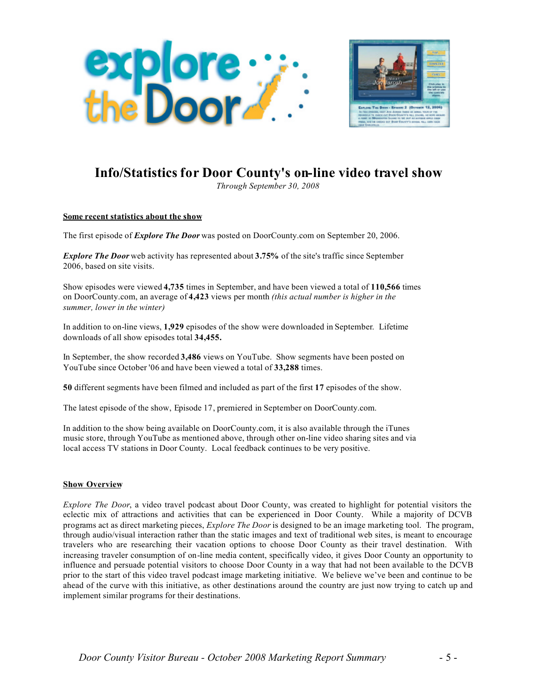



## **Info/Statistics for Door County's on-line video travel show**

*Through September 30, 2008*

#### **Some recent statistics about the show**

The first episode of *Explore The Door* was posted on DoorCounty.com on September 20, 2006.

*Explore The Door* web activity has represented about **3.75%** of the site's traffic since September 2006, based on site visits.

Show episodes were viewed **4,735** times in September, and have been viewed a total of **110,566** times on DoorCounty.com, an average of **4,423** views per month *(this actual number is higher in the summer, lower in the winter)*

In addition to on-line views, **1,929** episodes of the show were downloaded in September. Lifetime downloads of all show episodes total **34,455.**

In September, the show recorded **3,486** views on YouTube. Show segments have been posted on YouTube since October '06 and have been viewed a total of **33,288** times.

**50** different segments have been filmed and included as part of the first **17** episodes of the show.

The latest episode of the show, Episode 17, premiered in September on DoorCounty.com.

In addition to the show being available on DoorCounty.com, it is also available through the iTunes music store, through YouTube as mentioned above, through other on-line video sharing sites and via local access TV stations in Door County. Local feedback continues to be very positive.

#### **Show Overview**

*Explore The Door*, a video travel podcast about Door County, was created to highlight for potential visitors the eclectic mix of attractions and activities that can be experienced in Door County. While a majority of DCVB programs act as direct marketing pieces, *Explore The Door* is designed to be an image marketing tool. The program, through audio/visual interaction rather than the static images and text of traditional web sites, is meant to encourage travelers who are researching their vacation options to choose Door County as their travel destination. With increasing traveler consumption of on-line media content, specifically video, it gives Door County an opportunity to influence and persuade potential visitors to choose Door County in a way that had not been available to the DCVB prior to the start of this video travel podcast image marketing initiative. We believe we've been and continue to be ahead of the curve with this initiative, as other destinations around the country are just now trying to catch up and implement similar programs for their destinations.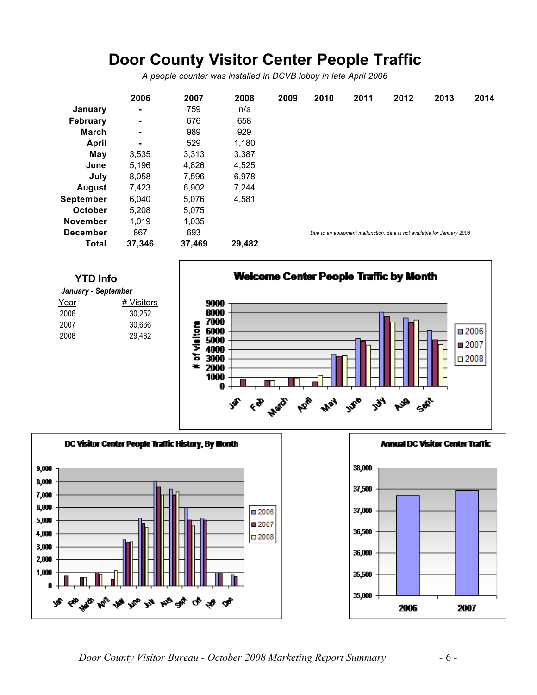# **Door County Visitor Center People Traffic**

*A people counter was installed in DCVB lobby in late April 2006*

|                  | 2006           | 2007   | 2008   | 2009 | 2010 | 2011 | 2012 | 2013                                                                    | 2014 |
|------------------|----------------|--------|--------|------|------|------|------|-------------------------------------------------------------------------|------|
| January          | $\blacksquare$ | 759    | n/a    |      |      |      |      |                                                                         |      |
| <b>February</b>  | $\blacksquare$ | 676    | 658    |      |      |      |      |                                                                         |      |
| <b>March</b>     | $\blacksquare$ | 989    | 929    |      |      |      |      |                                                                         |      |
| April            | $\blacksquare$ | 529    | 1,180  |      |      |      |      |                                                                         |      |
| May              | 3,535          | 3,313  | 3,387  |      |      |      |      |                                                                         |      |
| June             | 5,196          | 4,826  | 4,525  |      |      |      |      |                                                                         |      |
| July             | 8,058          | 7,596  | 6,978  |      |      |      |      |                                                                         |      |
| <b>August</b>    | 7,423          | 6.902  | 7.244  |      |      |      |      |                                                                         |      |
| <b>September</b> | 6,040          | 5,076  | 4,581  |      |      |      |      |                                                                         |      |
| <b>October</b>   | 5,208          | 5,075  |        |      |      |      |      |                                                                         |      |
| <b>November</b>  | 1,019          | 1,035  |        |      |      |      |      |                                                                         |      |
| <b>December</b>  | 867            | 693    |        |      |      |      |      | Due to an equipment malfunction, data is not available for January 2008 |      |
| Total            | 37,346         | 37,469 | 29,482 |      |      |      |      |                                                                         |      |



| January - September |            |  |  |  |  |  |  |
|---------------------|------------|--|--|--|--|--|--|
| Year                | # Visitors |  |  |  |  |  |  |
| 2006                | 30.252     |  |  |  |  |  |  |
| 2007                | 30,666     |  |  |  |  |  |  |
| 2008                | 29.482     |  |  |  |  |  |  |
|                     |            |  |  |  |  |  |  |

**Welcome Center People Traffic by Month** 



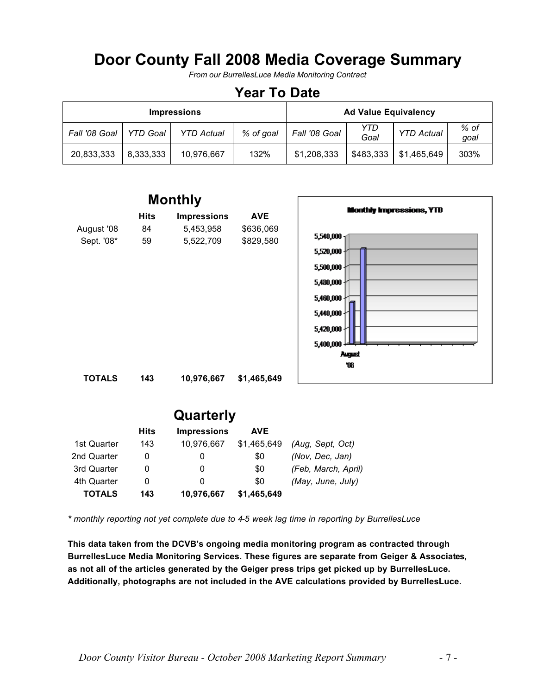# **Door County Fall 2008 Media Coverage Summary**

*From our BurrellesLuce Media Monitoring Contract*

## **Year To Date**

|               |                 | <b>Impressions</b> |           | <b>Ad Value Equivalency</b> |             |                   |              |
|---------------|-----------------|--------------------|-----------|-----------------------------|-------------|-------------------|--------------|
| Fall '08 Goal | <b>YTD Goal</b> | <b>YTD Actual</b>  | % of goal | Fall '08 Goal               | YTD<br>Goal | <b>YTD Actual</b> | % of<br>qoal |
| 20,833,333    | 8.333.333       | 10.976.667         | 132%      | \$1,208,333                 | \$483,333   | \$1,465,649       | 303%         |



| Quarterly   |             |                    |             |                     |  |  |  |  |
|-------------|-------------|--------------------|-------------|---------------------|--|--|--|--|
|             | <b>Hits</b> | <b>Impressions</b> | <b>AVE</b>  |                     |  |  |  |  |
| 1st Quarter | 143         | 10,976,667         | \$1,465,649 | (Aug, Sept, Oct)    |  |  |  |  |
| 2nd Quarter | 0           | O                  | \$0         | (Nov, Dec, Jan)     |  |  |  |  |
| 3rd Quarter |             | 0                  | \$0         | (Feb, March, April) |  |  |  |  |
| 4th Quarter | 0           | 0                  | \$0         | (May, June, July)   |  |  |  |  |
| TOTALS      | 143         | 10,976,667         | \$1,465,649 |                     |  |  |  |  |

*\* monthly reporting not yet complete due to 4-5 week lag time in reporting by BurrellesLuce*

**This data taken from the DCVB's ongoing media monitoring program as contracted through BurrellesLuce Media Monitoring Services. These figures are separate from Geiger & Associates, as not all of the articles generated by the Geiger press trips get picked up by BurrellesLuce. Additionally, photographs are not included in the AVE calculations provided by BurrellesLuce.**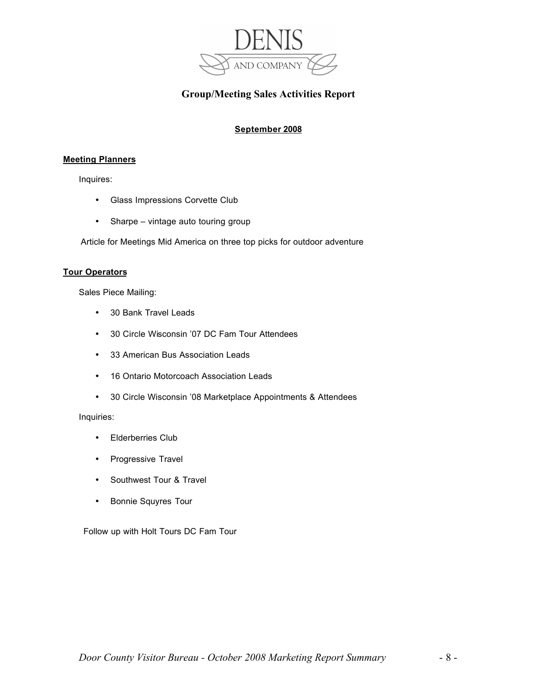

### **Group/Meeting Sales Activities Report**

### **September 2008**

#### **Meeting Planners**

Inquires:

- Glass Impressions Corvette Club
- Sharpe vintage auto touring group

Article for Meetings Mid America on three top picks for outdoor adventure

#### **Tour Operators**

Sales Piece Mailing:

- 30 Bank Travel Leads
- 30 Circle Wisconsin '07 DC Fam Tour Attendees
- 33 American Bus Association Leads
- 16 Ontario Motorcoach Association Leads
- 30 Circle Wisconsin '08 Marketplace Appointments & Attendees

Inquiries:

- Elderberries Club
- Progressive Travel
- Southwest Tour & Travel
- Bonnie Squyres Tour

Follow up with Holt Tours DC Fam Tour